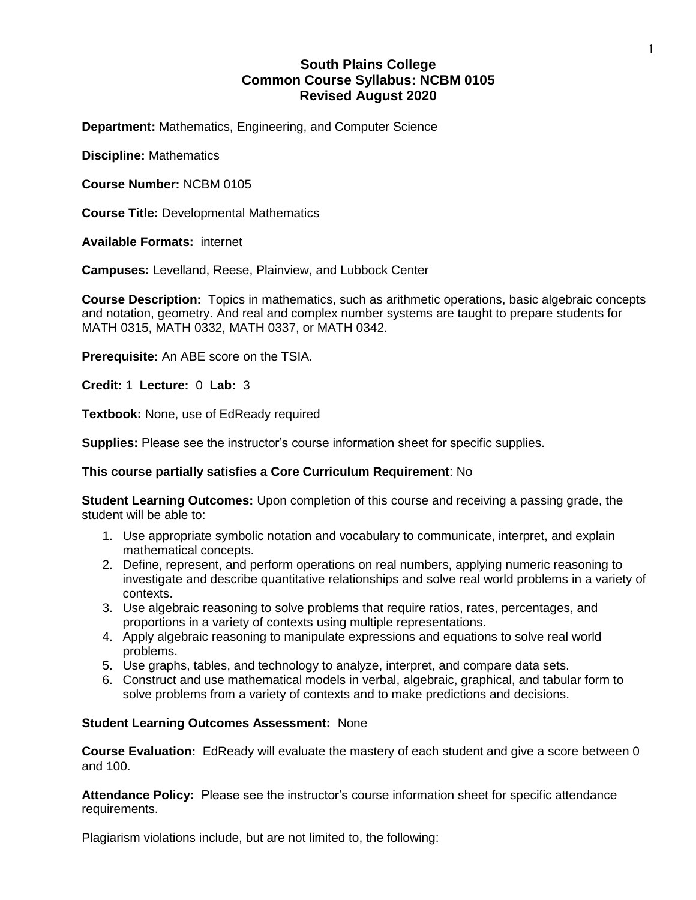# **South Plains College Common Course Syllabus: NCBM 0105 Revised August 2020**

**Department:** Mathematics, Engineering, and Computer Science

**Discipline:** Mathematics

**Course Number:** NCBM 0105

**Course Title:** Developmental Mathematics

**Available Formats:** internet

**Campuses:** Levelland, Reese, Plainview, and Lubbock Center

**Course Description:** Topics in mathematics, such as arithmetic operations, basic algebraic concepts and notation, geometry. And real and complex number systems are taught to prepare students for MATH 0315, MATH 0332, MATH 0337, or MATH 0342.

**Prerequisite:** An ABE score on the TSIA.

**Credit:** 1 **Lecture:** 0 **Lab:** 3

**Textbook:** None, use of EdReady required

**Supplies:** Please see the instructor's course information sheet for specific supplies.

## **This course partially satisfies a Core Curriculum Requirement**: No

**Student Learning Outcomes:** Upon completion of this course and receiving a passing grade, the student will be able to:

- 1. Use appropriate symbolic notation and vocabulary to communicate, interpret, and explain mathematical concepts.
- 2. Define, represent, and perform operations on real numbers, applying numeric reasoning to investigate and describe quantitative relationships and solve real world problems in a variety of contexts.
- 3. Use algebraic reasoning to solve problems that require ratios, rates, percentages, and proportions in a variety of contexts using multiple representations.
- 4. Apply algebraic reasoning to manipulate expressions and equations to solve real world problems.
- 5. Use graphs, tables, and technology to analyze, interpret, and compare data sets.
- 6. Construct and use mathematical models in verbal, algebraic, graphical, and tabular form to solve problems from a variety of contexts and to make predictions and decisions.

## **Student Learning Outcomes Assessment:** None

**Course Evaluation:** EdReady will evaluate the mastery of each student and give a score between 0 and 100.

**Attendance Policy:** Please see the instructor's course information sheet for specific attendance requirements.

Plagiarism violations include, but are not limited to, the following: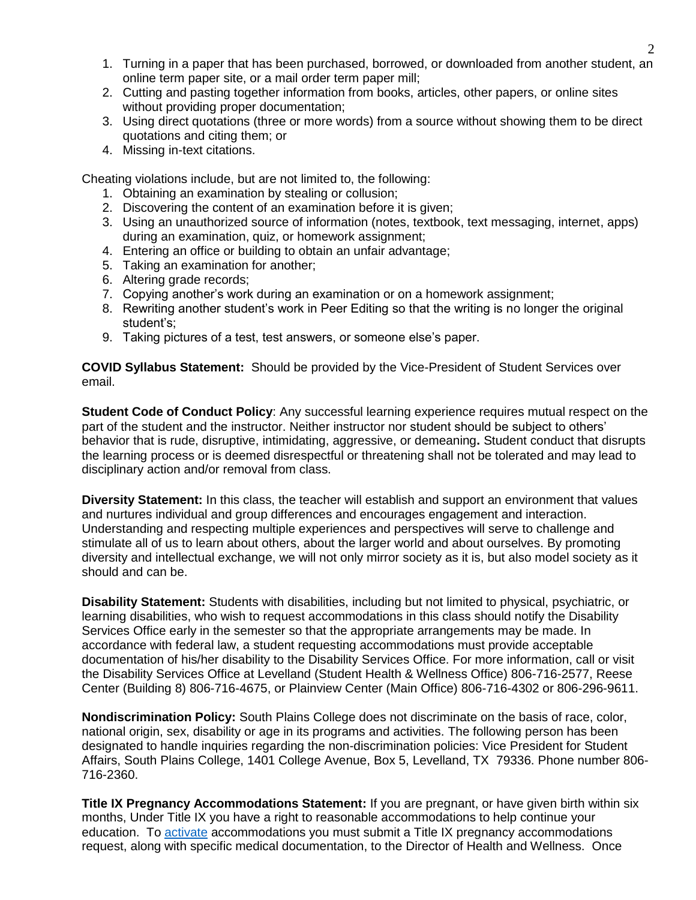- 1. Turning in a paper that has been purchased, borrowed, or downloaded from another student, an online term paper site, or a mail order term paper mill;
- 2. Cutting and pasting together information from books, articles, other papers, or online sites without providing proper documentation;
- 3. Using direct quotations (three or more words) from a source without showing them to be direct quotations and citing them; or
- 4. Missing in-text citations.

Cheating violations include, but are not limited to, the following:

- 1. Obtaining an examination by stealing or collusion;
- 2. Discovering the content of an examination before it is given;
- 3. Using an unauthorized source of information (notes, textbook, text messaging, internet, apps) during an examination, quiz, or homework assignment;
- 4. Entering an office or building to obtain an unfair advantage;
- 5. Taking an examination for another;
- 6. Altering grade records;
- 7. Copying another's work during an examination or on a homework assignment;
- 8. Rewriting another student's work in Peer Editing so that the writing is no longer the original student's;
- 9. Taking pictures of a test, test answers, or someone else's paper.

**COVID Syllabus Statement:** Should be provided by the Vice-President of Student Services over email.

**Student Code of Conduct Policy**: Any successful learning experience requires mutual respect on the part of the student and the instructor. Neither instructor nor student should be subject to others' behavior that is rude, disruptive, intimidating, aggressive, or demeaning**.** Student conduct that disrupts the learning process or is deemed disrespectful or threatening shall not be tolerated and may lead to disciplinary action and/or removal from class.

**Diversity Statement:** In this class, the teacher will establish and support an environment that values and nurtures individual and group differences and encourages engagement and interaction. Understanding and respecting multiple experiences and perspectives will serve to challenge and stimulate all of us to learn about others, about the larger world and about ourselves. By promoting diversity and intellectual exchange, we will not only mirror society as it is, but also model society as it should and can be.

**Disability Statement:** Students with disabilities, including but not limited to physical, psychiatric, or learning disabilities, who wish to request accommodations in this class should notify the Disability Services Office early in the semester so that the appropriate arrangements may be made. In accordance with federal law, a student requesting accommodations must provide acceptable documentation of his/her disability to the Disability Services Office. For more information, call or visit the Disability Services Office at Levelland (Student Health & Wellness Office) 806-716-2577, Reese Center (Building 8) 806-716-4675, or Plainview Center (Main Office) 806-716-4302 or 806-296-9611.

**Nondiscrimination Policy:** South Plains College does not discriminate on the basis of race, color, national origin, sex, disability or age in its programs and activities. The following person has been designated to handle inquiries regarding the non-discrimination policies: Vice President for Student Affairs, South Plains College, 1401 College Avenue, Box 5, Levelland, TX 79336. Phone number 806- 716-2360.

**Title IX Pregnancy Accommodations Statement:** If you are pregnant, or have given birth within six months, Under Title IX you have a right to reasonable accommodations to help continue your education. To [activate](http://www.southplainscollege.edu/employees/manualshandbooks/facultyhandbook/sec4.php) accommodations you must submit a Title IX pregnancy accommodations request, along with specific medical documentation, to the Director of Health and Wellness. Once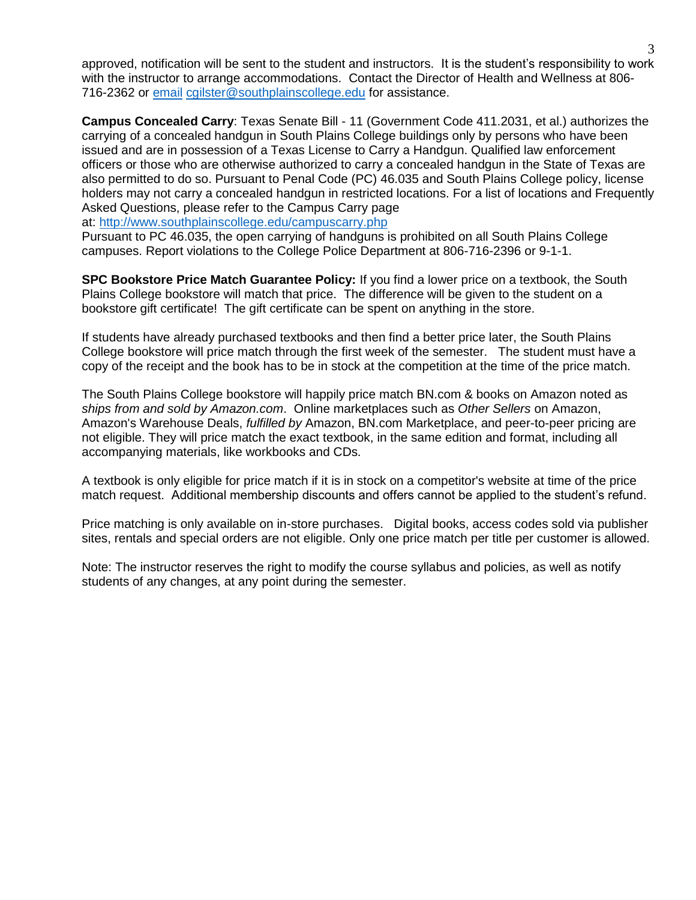approved, notification will be sent to the student and instructors. It is the student's responsibility to work with the instructor to arrange accommodations. Contact the Director of Health and Wellness at 806- 716-2362 or [email](http://www.southplainscollege.edu/employees/manualshandbooks/facultyhandbook/sec4.php) [cgilster@southplainscollege.edu](mailto:cgilster@southplainscollege.edu) for assistance.

**Campus Concealed Carry**: Texas Senate Bill - 11 (Government Code 411.2031, et al.) authorizes the carrying of a concealed handgun in South Plains College buildings only by persons who have been issued and are in possession of a Texas License to Carry a Handgun. Qualified law enforcement officers or those who are otherwise authorized to carry a concealed handgun in the State of Texas are also permitted to do so. Pursuant to Penal Code (PC) 46.035 and South Plains College policy, license holders may not carry a concealed handgun in restricted locations. For a list of locations and Frequently Asked Questions, please refer to the Campus Carry page

at: <http://www.southplainscollege.edu/campuscarry.php>

Pursuant to PC 46.035, the open carrying of handguns is prohibited on all South Plains College campuses. Report violations to the College Police Department at 806-716-2396 or 9-1-1.

**SPC Bookstore Price Match Guarantee Policy:** If you find a lower price on a textbook, the South Plains College bookstore will match that price. The difference will be given to the student on a bookstore gift certificate! The gift certificate can be spent on anything in the store.

If students have already purchased textbooks and then find a better price later, the South Plains College bookstore will price match through the first week of the semester. The student must have a copy of the receipt and the book has to be in stock at the competition at the time of the price match.

The South Plains College bookstore will happily price match BN.com & books on Amazon noted as *ships from and sold by Amazon.com*. Online marketplaces such as *Other Sellers* on Amazon, Amazon's Warehouse Deals, *fulfilled by* Amazon, BN.com Marketplace, and peer-to-peer pricing are not eligible. They will price match the exact textbook, in the same edition and format, including all accompanying materials, like workbooks and CDs.

A textbook is only eligible for price match if it is in stock on a competitor's website at time of the price match request. Additional membership discounts and offers cannot be applied to the student's refund.

Price matching is only available on in-store purchases. Digital books, access codes sold via publisher sites, rentals and special orders are not eligible. Only one price match per title per customer is allowed.

Note: The instructor reserves the right to modify the course syllabus and policies, as well as notify students of any changes, at any point during the semester.